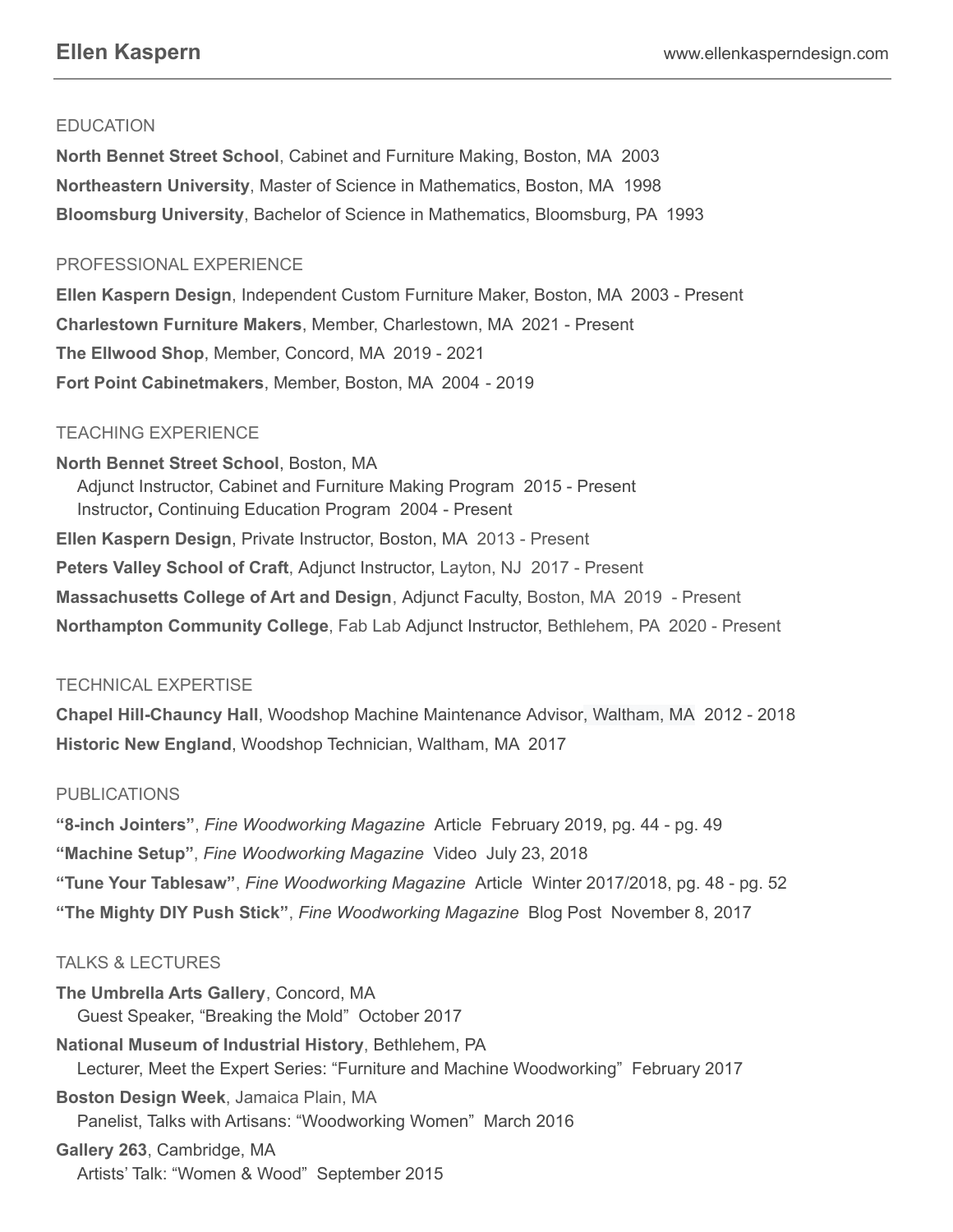## **EDUCATION**

**North Bennet Street School**, Cabinet and Furniture Making, Boston, MA 2003 **Northeastern University**, Master of Science in Mathematics, Boston, MA 1998 **Bloomsburg University**, Bachelor of Science in Mathematics, Bloomsburg, PA 1993

## PROFESSIONAL EXPERIENCE

**Ellen Kaspern Design**, Independent Custom Furniture Maker, Boston, MA 2003 - Present **Charlestown Furniture Makers**, Member, Charlestown, MA 2021 - Present **The Ellwood Shop**, Member, Concord, MA 2019 - 2021 **Fort Point Cabinetmakers**, Member, Boston, MA 2004 - 2019

## TEACHING EXPERIENCE

**North Bennet Street School**, Boston, MA Adjunct Instructor, Cabinet and Furniture Making Program 2015 - Present Instructor**,** Continuing Education Program 2004 - Present **Ellen Kaspern Design**, Private Instructor, Boston, MA 2013 - Present **Peters Valley School of Craft**, Adjunct Instructor, Layton, NJ 2017 - Present **Massachusetts College of Art and Design**, Adjunct Faculty, Boston, MA 2019 - Present **Northampton Community College**, Fab Lab Adjunct Instructor, Bethlehem, PA 2020 - Present

# TECHNICAL EXPERTISE

**Chapel Hill-Chauncy Hall**, Woodshop Machine Maintenance Advisor, Waltham, MA 2012 - 2018 **Historic New England**, Woodshop Technician, Waltham, MA 2017

### PUBLICATIONS

**"8-inch Jointers"**, *Fine Woodworking Magazine* Article February 2019, pg. 44 - pg. 49 **"Machine Setup"**, *Fine Woodworking Magazine* Video July 23, 2018 **"Tune Your Tablesaw"**, *Fine Woodworking Magazine* Article Winter 2017/2018, pg. 48 - pg. 52 **"The Mighty DIY Push Stick"**, *Fine Woodworking Magazine* Blog Post November 8, 2017

# TALKS & LECTURES

**The Umbrella Arts Gallery**, Concord, MA Guest Speaker, "Breaking the Mold" October 2017 **National Museum of Industrial History**, Bethlehem, PA Lecturer, Meet the Expert Series: "Furniture and Machine Woodworking" February 2017 **Boston Design Week**, Jamaica Plain, MA Panelist, Talks with Artisans: "Woodworking Women" March 2016 **Gallery 263**, Cambridge, MA Artists' Talk: "Women & Wood" September 2015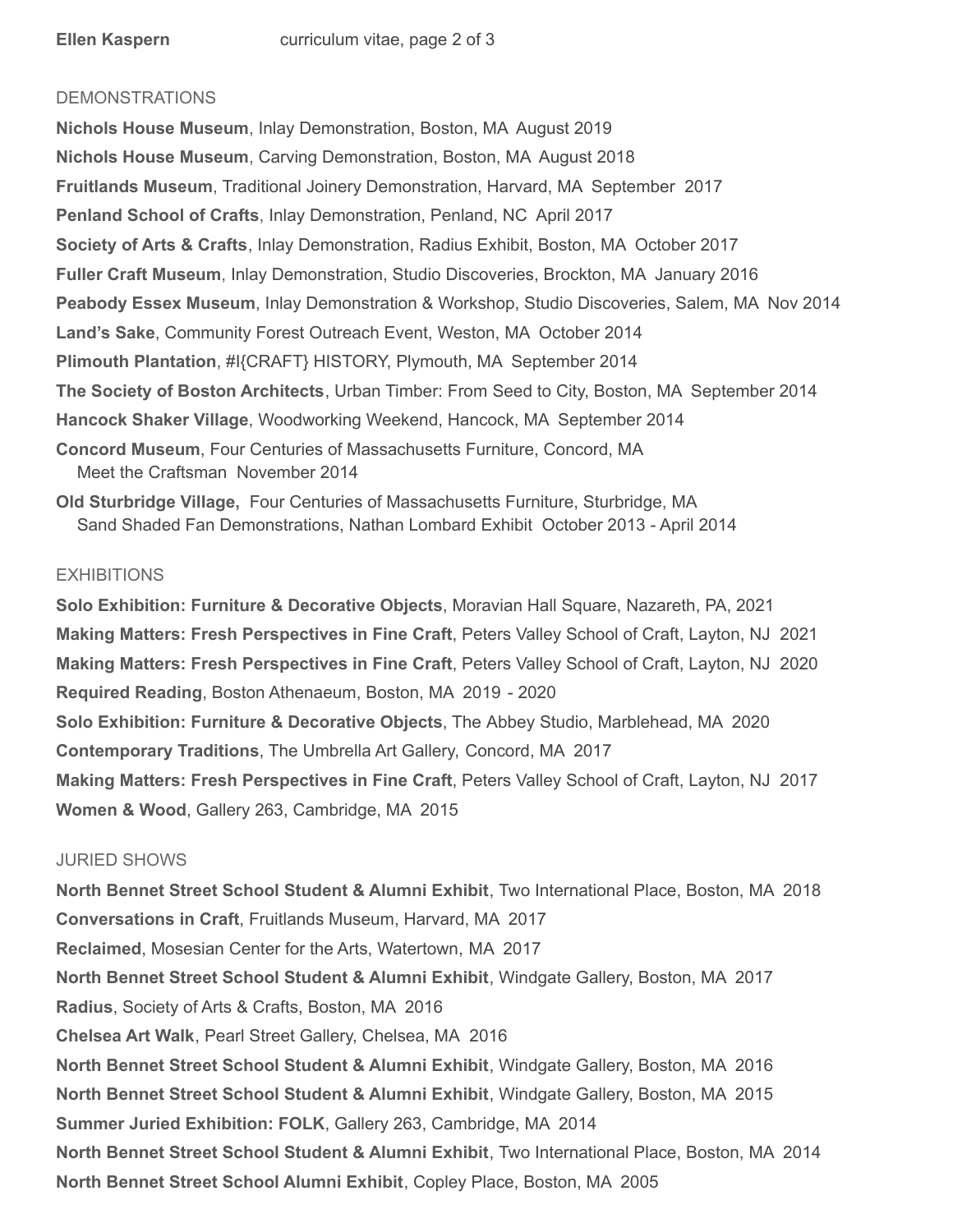### DEMONSTRATIONS

**Nichols House Museum**, Inlay Demonstration, Boston, MA August 2019 **Nichols House Museum**, Carving Demonstration, Boston, MA August 2018 **Fruitlands Museum**, Traditional Joinery Demonstration, Harvard, MA September 2017 **Penland School of Crafts**, Inlay Demonstration, Penland, NC April 2017 **Society of Arts & Crafts**, Inlay Demonstration, Radius Exhibit, Boston, MA October 2017 **Fuller Craft Museum**, Inlay Demonstration, Studio Discoveries, Brockton, MA January 2016 **Peabody Essex Museum**, Inlay Demonstration & Workshop, Studio Discoveries, Salem, MA Nov 2014 **Land's Sake**, Community Forest Outreach Event, Weston, MA October 2014 **Plimouth Plantation**, #I{CRAFT} HISTORY, Plymouth, MA September 2014 **The Society of Boston Architects**, Urban Timber: From Seed to City, Boston, MA September 2014 **Hancock Shaker Village**, Woodworking Weekend, Hancock, MA September 2014 **Concord Museum**, Four Centuries of Massachusetts Furniture, Concord, MA Meet the Craftsman November 2014

**Old Sturbridge Village,** Four Centuries of Massachusetts Furniture, Sturbridge, MA Sand Shaded Fan Demonstrations, Nathan Lombard Exhibit October 2013 - April 2014

#### EXHIBITIONS

**Solo Exhibition: Furniture & Decorative Objects**, Moravian Hall Square, Nazareth, PA, 2021 **Making Matters: Fresh Perspectives in Fine Craft**, Peters Valley School of Craft, Layton, NJ 2021 **Making Matters: Fresh Perspectives in Fine Craft**, Peters Valley School of Craft, Layton, NJ 2020 **Required Reading**, Boston Athenaeum, Boston, MA 2019 - 2020 **Solo Exhibition: Furniture & Decorative Objects**, The Abbey Studio, Marblehead, MA 2020 **Contemporary Traditions**, The Umbrella Art Gallery, Concord, MA 2017 **Making Matters: Fresh Perspectives in Fine Craft**, Peters Valley School of Craft, Layton, NJ 2017 **Women & Wood**, Gallery 263, Cambridge, MA 2015

#### JURIED SHOWS

**North Bennet Street School Student & Alumni Exhibit**, Two International Place, Boston, MA 2018 **Conversations in Craft**, Fruitlands Museum, Harvard, MA 2017 **Reclaimed**, Mosesian Center for the Arts, Watertown, MA 2017 **North Bennet Street School Student & Alumni Exhibit**, Windgate Gallery, Boston, MA 2017 **Radius**, Society of Arts & Crafts, Boston, MA 2016 **Chelsea Art Walk**, Pearl Street Gallery, Chelsea, MA 2016 **North Bennet Street School Student & Alumni Exhibit**, Windgate Gallery, Boston, MA 2016 **North Bennet Street School Student & Alumni Exhibit**, Windgate Gallery, Boston, MA 2015 **Summer Juried Exhibition: FOLK**, Gallery 263, Cambridge, MA 2014 **North Bennet Street School Student & Alumni Exhibit**, Two International Place, Boston, MA 2014 **North Bennet Street School Alumni Exhibit**, Copley Place, Boston, MA 2005